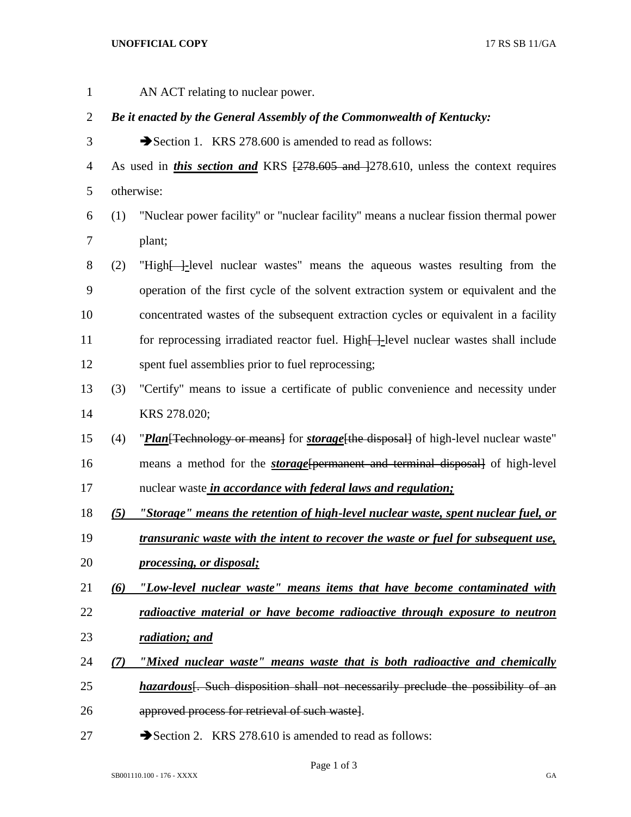## **UNOFFICIAL COPY** 17 RS SB 11/GA

 AN ACT relating to nuclear power. *Be it enacted by the General Assembly of the Commonwealth of Kentucky:* 3 Section 1. KRS 278.600 is amended to read as follows: 4 As used in *this section and* KRS  $\left[\frac{278.605 \text{ and } 278.610}{278.610}\right]$  unless the context requires otherwise: (1) "Nuclear power facility" or "nuclear facility" means a nuclear fission thermal power plant; (2) "High[ ]*-*level nuclear wastes" means the aqueous wastes resulting from the operation of the first cycle of the solvent extraction system or equivalent and the concentrated wastes of the subsequent extraction cycles or equivalent in a facility 11 for reprocessing irradiated reactor fuel. High-level nuclear wastes shall include spent fuel assemblies prior to fuel reprocessing; (3) "Certify" means to issue a certificate of public convenience and necessity under KRS 278.020; (4) "*Plan*[Technology or means] for *storage*[the disposal] of high-level nuclear waste" means a method for the *storage*[permanent and terminal disposal] of high-level nuclear waste *in accordance with federal laws and regulation; (5) "Storage" means the retention of high-level nuclear waste, spent nuclear fuel, or transuranic waste with the intent to recover the waste or fuel for subsequent use, processing, or disposal; (6) "Low-level nuclear waste" means items that have become contaminated with radioactive material or have become radioactive through exposure to neutron radiation; and (7) "Mixed nuclear waste" means waste that is both radioactive and chemically hazardous*<sup>[</sup>. Such disposition shall not necessarily preclude the possibility of an approved process for retrieval of such waste]. 27 Section 2. KRS 278.610 is amended to read as follows:

Page 1 of 3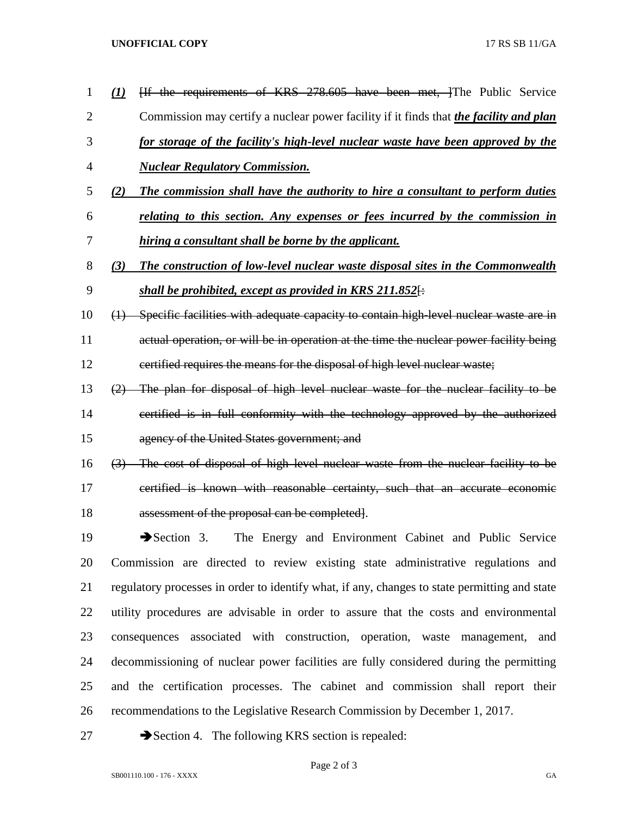## **UNOFFICIAL COPY** 17 RS SB 11/GA

| 1              | (1)               | [If the requirements of KRS 278.605 have been met, ]The Public Service                        |
|----------------|-------------------|-----------------------------------------------------------------------------------------------|
| $\overline{2}$ |                   | Commission may certify a nuclear power facility if it finds that <i>the facility and plan</i> |
| 3              |                   | for storage of the facility's high-level nuclear waste have been approved by the              |
| 4              |                   | <b>Nuclear Regulatory Commission.</b>                                                         |
| 5              | (2)               | The commission shall have the authority to hire a consultant to perform duties                |
| 6              |                   | relating to this section. Any expenses or fees incurred by the commission in                  |
| 7              |                   | hiring a consultant shall be borne by the applicant.                                          |
| 8              | (3)               | The construction of low-level nuclear waste disposal sites in the Commonwealth                |
| 9              |                   | shall be prohibited, except as provided in KRS 211.852 $\leftrightarrow$                      |
| 10             | $\leftrightarrow$ | Specific facilities with adequate capacity to contain high level nuclear waste are in         |
| 11             |                   | actual operation, or will be in operation at the time the nuclear power facility being        |
| 12             |                   | certified requires the means for the disposal of high level nuclear waste;                    |
| 13             |                   | (2) The plan for disposal of high level nuclear waste for the nuclear facility to be          |
| 14             |                   | certified is in full conformity with the technology approved by the authorized                |
| 15             |                   | agency of the United States government; and                                                   |
| 16             |                   | (3) The cost of disposal of high level nuclear waste from the nuclear facility to be          |
| 17             |                   | certified is known with reasonable certainty, such that an accurate economic                  |
| 18             |                   | assessment of the proposal can be completed.                                                  |
| 19             |                   | $\rightarrow$ Section 3.<br>The Energy and Environment Cabinet and Public Service             |
| 20             |                   | Commission are directed to review existing state administrative regulations and               |
| 21             |                   | regulatory processes in order to identify what, if any, changes to state permitting and state |
| 22             |                   | utility procedures are advisable in order to assure that the costs and environmental          |
| 23             |                   | consequences associated with construction, operation, waste management, and                   |
| 24             |                   | decommissioning of nuclear power facilities are fully considered during the permitting        |
| 25             |                   | and the certification processes. The cabinet and commission shall report their                |
|                |                   |                                                                                               |

recommendations to the Legislative Research Commission by December 1, 2017.

27 Section 4. The following KRS section is repealed: